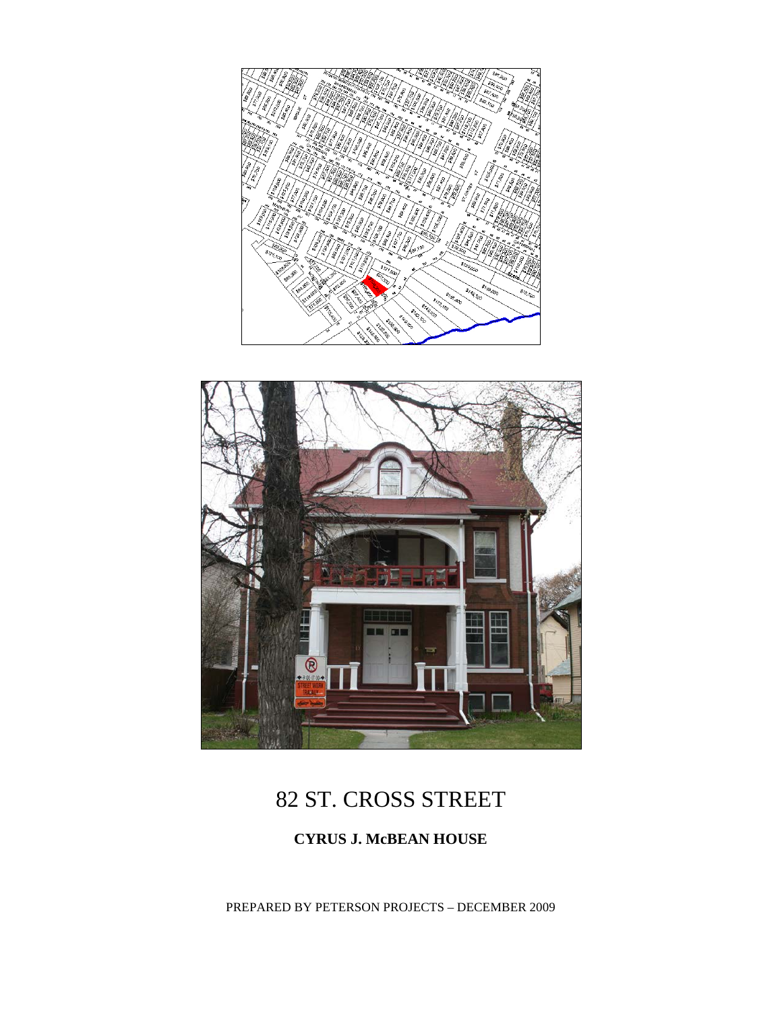



# 82 ST. CROSS STREET

### **CYRUS J. McBEAN HOUSE**

PREPARED BY PETERSON PROJECTS – DECEMBER 2009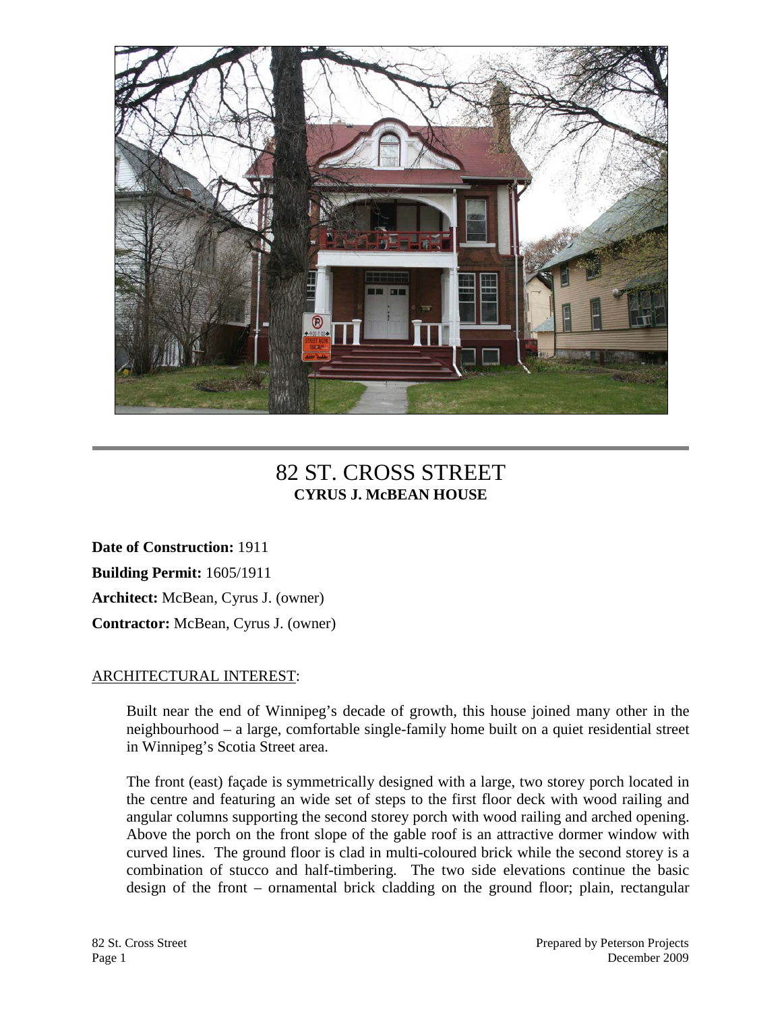

## 82 ST. CROSS STREET **CYRUS J. McBEAN HOUSE**

**Date of Construction:** 1911 **Building Permit:** 1605/1911 **Architect:** McBean, Cyrus J. (owner) **Contractor:** McBean, Cyrus J. (owner)

#### ARCHITECTURAL INTEREST:

Built near the end of Winnipeg's decade of growth, this house joined many other in the neighbourhood – a large, comfortable single-family home built on a quiet residential street in Winnipeg's Scotia Street area.

The front (east) façade is symmetrically designed with a large, two storey porch located in the centre and featuring an wide set of steps to the first floor deck with wood railing and angular columns supporting the second storey porch with wood railing and arched opening. Above the porch on the front slope of the gable roof is an attractive dormer window with curved lines. The ground floor is clad in multi-coloured brick while the second storey is a combination of stucco and half-timbering. The two side elevations continue the basic design of the front – ornamental brick cladding on the ground floor; plain, rectangular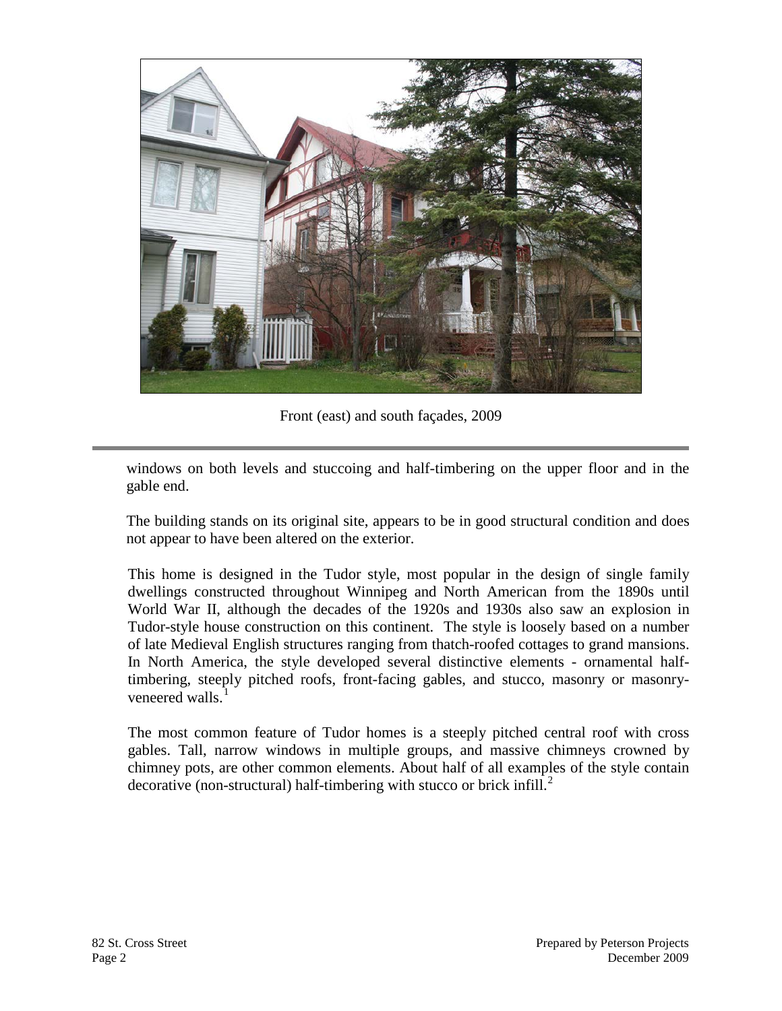

Front (east) and south façades, 2009

windows on both levels and stuccoing and half-timbering on the upper floor and in the gable end.

The building stands on its original site, appears to be in good structural condition and does not appear to have been altered on the exterior.

This home is designed in the Tudor style, most popular in the design of single family dwellings constructed throughout Winnipeg and North American from the 1890s until World War II, although the decades of the 1920s and 1930s also saw an explosion in Tudor-style house construction on this continent. The style is loosely based on a number of late Medieval English structures ranging from thatch-roofed cottages to grand mansions. In North America, the style developed several distinctive elements - ornamental halftimbering, steeply pitched roofs, front-facing gables, and stucco, masonry or masonryveneered walls.

The most common feature of Tudor homes is a steeply pitched central roof with cross gables. Tall, narrow windows in multiple groups, and massive chimneys crowned by chimney pots, are other common elements. About half of all examples of the style contain decorative (non-structural) half-timbering with stucco or brick infill. $\frac{2}{3}$  $\frac{2}{3}$  $\frac{2}{3}$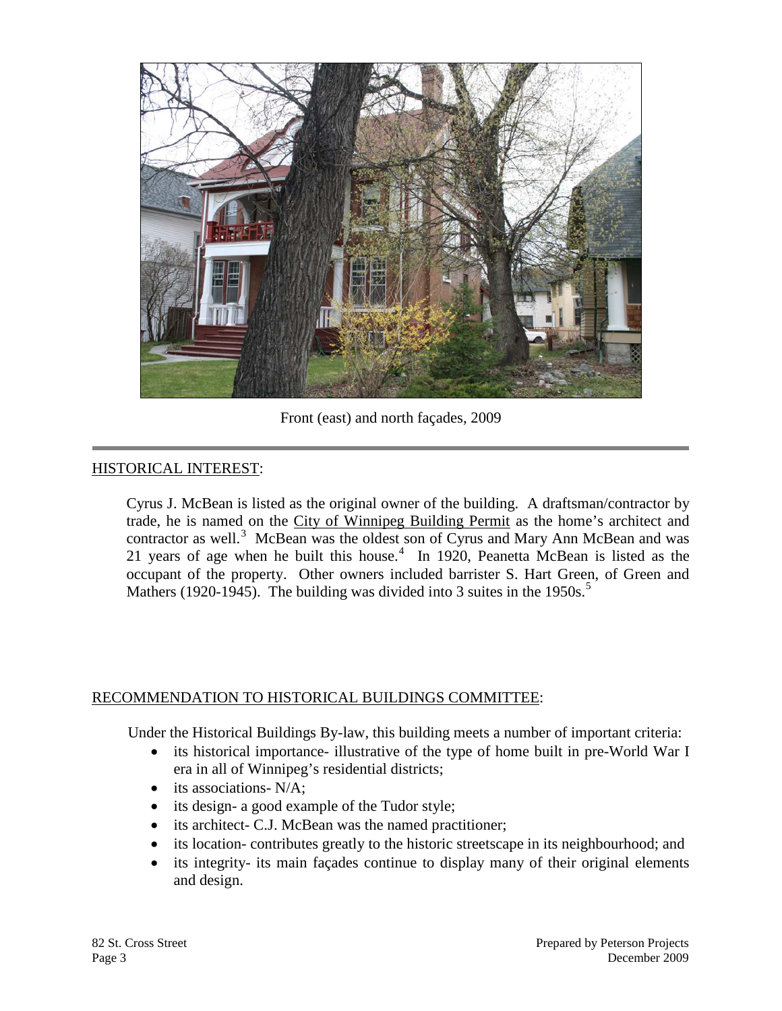

Front (east) and north façades, 2009

#### HISTORICAL INTEREST:

Cyrus J. McBean is listed as the original owner of the building. A draftsman/contractor by trade, he is named on the City of Winnipeg Building Permit as the home's architect and contractor as well.<sup>[3](#page-4-2)</sup> McBean was the oldest son of Cyrus and Mary Ann McBean and was 21 years of age when he built this house. $4\,$  $4\,$  In 1920, Peanetta McBean is listed as the occupant of the property. Other owners included barrister S. Hart Green, of Green and Mathers (1920-194[5](#page-4-4)). The building was divided into 3 suites in the  $1950s$ .<sup>5</sup>

#### RECOMMENDATION TO HISTORICAL BUILDINGS COMMITTEE:

Under the Historical Buildings By-law, this building meets a number of important criteria:

- its historical importance- illustrative of the type of home built in pre-World War I era in all of Winnipeg's residential districts;
- its associations- N/A:
- its design- a good example of the Tudor style;
- its architect- C.J. McBean was the named practitioner;
- its location- contributes greatly to the historic streetscape in its neighbourhood; and
- its integrity- its main façades continue to display many of their original elements and design.